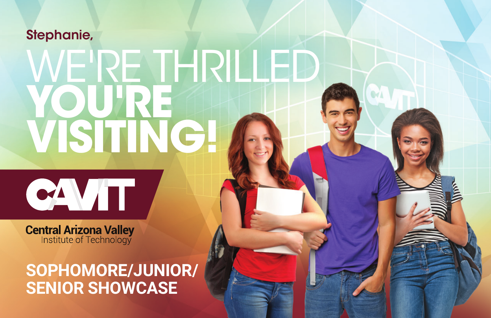### Stephanie,

# WE'RE THRILLED **YOU'RE VISITING!**



**Central Arizona Valley**<br>Institute of Technology

## **SOPHOMORE/JUNIOR/ SENIOR SHOWCASE**